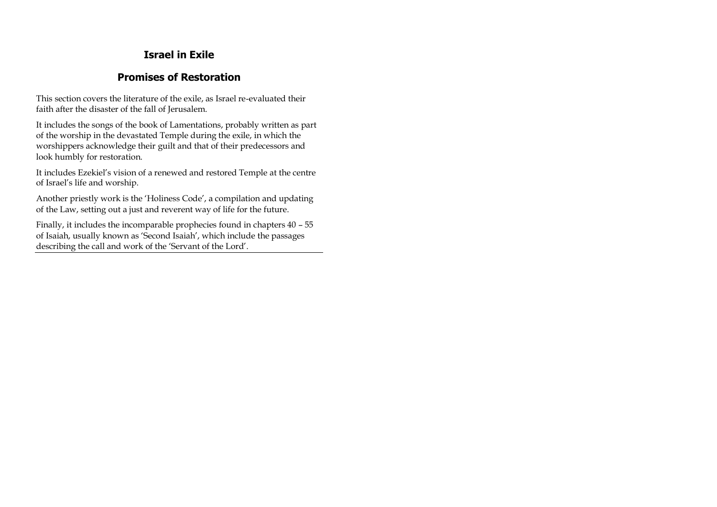# **Israel in Exile**

# **Promises of Restoration**

This section covers the literature of the exile, as Israel re-evaluated their faith after the disaster of the fall of Jerusalem.

It includes the songs of the book of Lamentations, probably written as part of the worship in the devastated Temple during the exile, in which the worshippers acknowledge their guilt and that of their predecessors and look humbly for restoration.

It includes Ezekiel's vision of a renewed and restored Temple at the centre of Israel's life and worship.

Another priestly work is the 'Holiness Code', a compilation and updating of the Law, setting out a just and reverent way of life for the future.

Finally, it includes the incomparable prophecies found in chapters 40 – 55 of Isaiah, usually known as 'Second Isaiah', which include the passages describing the call and work of the 'Servant of the Lord'.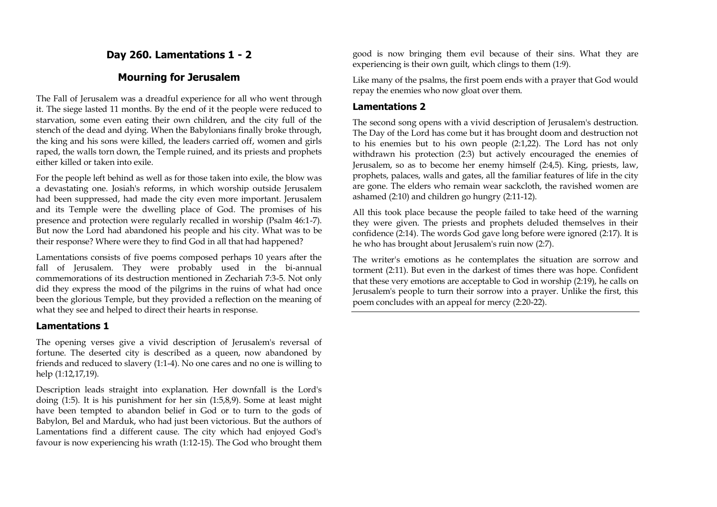## **Day 260. Lamentations 1 - 2**

## **Mourning for Jerusalem**

The Fall of Jerusalem was a dreadful experience for all who went through it. The siege lasted 11 months. By the end of it the people were reduced to starvation, some even eating their own children, and the city full of the stench of the dead and dying. When the Babylonians finally broke through, the king and his sons were killed, the leaders carried off, women and girls raped, the walls torn down, the Temple ruined, and its priests and prophets either killed or taken into exile.

For the people left behind as well as for those taken into exile, the blow was a devastating one. Josiah's reforms, in which worship outside Jerusalem had been suppressed, had made the city even more important. Jerusalem and its Temple were the dwelling place of God. The promises of his presence and protection were regularly recalled in worship (Psalm 46:1-7). But now the Lord had abandoned his people and his city. What was to be their response? Where were they to find God in all that had happened?

Lamentations consists of five poems composed perhaps 10 years after the fall of Jerusalem. They were probably used in the bi-annual commemorations of its destruction mentioned in Zechariah 7:3-5. Not only did they express the mood of the pilgrims in the ruins of what had once been the glorious Temple, but they provided a reflection on the meaning of what they see and helped to direct their hearts in response.

#### **Lamentations 1**

The opening verses give a vivid description of Jerusalem's reversal of fortune. The deserted city is described as a queen, now abandoned by friends and reduced to slavery (1:1-4). No one cares and no one is willing to help (1:12,17,19).

Description leads straight into explanation. Her downfall is the Lord's doing (1:5). It is his punishment for her sin (1:5,8,9). Some at least might have been tempted to abandon belief in God or to turn to the gods of Babylon, Bel and Marduk, who had just been victorious. But the authors of Lamentations find a different cause. The city which had enjoyed God's favour is now experiencing his wrath (1:12-15). The God who brought them

good is now bringing them evil because of their sins. What they are experiencing is their own guilt, which clings to them (1:9).

Like many of the psalms, the first poem ends with a prayer that God would repay the enemies who now gloat over them.

#### **Lamentations 2**

The second song opens with a vivid description of Jerusalem's destruction. The Day of the Lord has come but it has brought doom and destruction not to his enemies but to his own people (2:1,22). The Lord has not only withdrawn his protection (2:3) but actively encouraged the enemies of Jerusalem, so as to become her enemy himself (2:4,5). King, priests, law, prophets, palaces, walls and gates, all the familiar features of life in the city are gone. The elders who remain wear sackcloth, the ravished women are ashamed (2:10) and children go hungry (2:11-12).

All this took place because the people failed to take heed of the warning they were given. The priests and prophets deluded themselves in their confidence (2:14). The words God gave long before were ignored (2:17). It is he who has brought about Jerusalem's ruin now  $(2:7)$ .

The writer's emotions as he contemplates the situation are sorrow and torment (2:11). But even in the darkest of times there was hope. Confident that these very emotions are acceptable to God in worship (2:19), he calls on Jerusalem's people to turn their sorrow into a prayer. Unlike the first, this poem concludes with an appeal for mercy (2:20-22).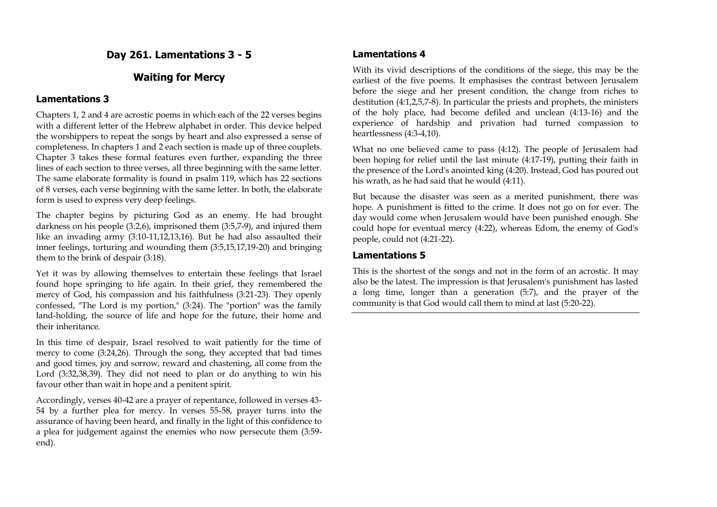## **Day 261. Lamentations 3 - 5**

## **Waiting for Mercy**

### **Lamentations 3**

Chapters 1, 2 and 4 are acrostic poems in which each of the 22 verses begins with a different letter of the Hebrew alphabet in order. This device helped the worshippers to repeat the songs by heart and also expressed a sense of completeness. In chapters 1 and 2 each section is made up of three couplets. Chapter 3 takes these formal features even further, expanding the three lines of each section to three verses, all three beginning with the same letter. The same elaborate formality is found in psalm 119, which has 22 sections of 8 verses, each verse beginning with the same letter. In both, the elaborate form is used to express very deep feelings.

The chapter begins by picturing God as an enemy. He had brought darkness on his people (3:2,6), imprisoned them (3:5,7-9), and injured them like an invading army (3:10-11,12,13,16). But he had also assaulted their inner feelings, torturing and wounding them (3:5,15,17,19-20) and bringing them to the brink of despair (3:18).

Yet it was by allowing themselves to entertain these feelings that Israel found hope springing to life again. In their grief, they remembered the mercy of God, his compassion and his faithfulness (3:21-23). They openly confessed, "The Lord is my portion," (3:24). The "portion" was the family land-holding, the source of life and hope for the future, their home and their inheritance.

In this time of despair, Israel resolved to wait patiently for the time of mercy to come (3:24,26). Through the song, they accepted that bad times and good times, joy and sorrow, reward and chastening, all come from the Lord (3:32,38,39). They did not need to plan or do anything to win his favour other than wait in hope and a penitent spirit.

Accordingly, verses 40-42 are a prayer of repentance, followed in verses 43- 54 by a further plea for mercy. In verses 55-58, prayer turns into the assurance of having been heard, and finally in the light of this confidence to a plea for judgement against the enemies who now persecute them (3:59 end).

### **Lamentations 4**

With its vivid descriptions of the conditions of the siege, this may be the earliest of the five poems. It emphasises the contrast between Jerusalem before the siege and her present condition, the change from riches to destitution (4:1,2,5,7-8). In particular the priests and prophets, the ministers of the holy place, had become defiled and unclean (4:13-16) and the experience of hardship and privation had turned compassion to heartlessness (4:3-4,10).

What no one believed came to pass (4:12). The people of Jerusalem had been hoping for relief until the last minute (4:17-19), putting their faith in the presence of the Lord's anointed king (4:20). Instead, God has poured out his wrath, as he had said that he would (4:11).

But because the disaster was seen as a merited punishment, there was hope. A punishment is fitted to the crime. It does not go on for ever. The day would come when Jerusalem would have been punished enough. She could hope for eventual mercy (4:22), whereas Edom, the enemy of God's people, could not (4:21-22).

### **Lamentations 5**

This is the shortest of the songs and not in the form of an acrostic. It may also be the latest. The impression is that Jerusalem's punishment has lasted a long time, longer than a generation (5:7), and the prayer of the community is that God would call them to mind at last (5:20-22).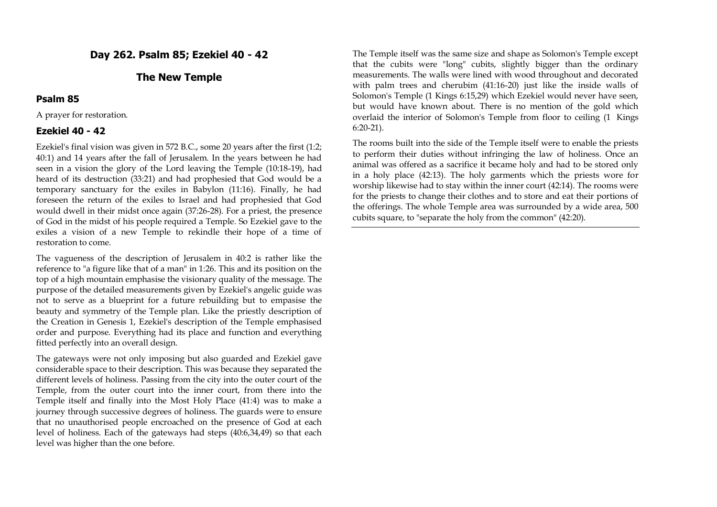### **Day 262. Psalm 85; Ezekiel 40 - 42**

### **The New Temple**

#### **Psalm 85**

A prayer for restoration.

#### **Ezekiel 40 - 42**

Ezekiel's final vision was given in 572 B.C., some 20 years after the first (1:2; 40:1) and 14 years after the fall of Jerusalem. In the years between he had seen in a vision the glory of the Lord leaving the Temple (10:18-19), had heard of its destruction (33:21) and had prophesied that God would be a temporary sanctuary for the exiles in Babylon (11:16). Finally, he had foreseen the return of the exiles to Israel and had prophesied that God would dwell in their midst once again (37:26-28). For a priest, the presence of God in the midst of his people required a Temple. So Ezekiel gave to the exiles a vision of a new Temple to rekindle their hope of a time of restoration to come.

The vagueness of the description of Jerusalem in 40:2 is rather like the reference to "a figure like that of a man" in 1:26. This and its position on the top of a high mountain emphasise the visionary quality of the message. The purpose of the detailed measurements given by Ezekiel's angelic guide was not to serve as a blueprint for a future rebuilding but to empasise the beauty and symmetry of the Temple plan. Like the priestly description of the Creation in Genesis 1, Ezekiel's description of the Temple emphasised order and purpose. Everything had its place and function and everything fitted perfectly into an overall design.

The gateways were not only imposing but also guarded and Ezekiel gave considerable space to their description. This was because they separated the different levels of holiness. Passing from the city into the outer court of the Temple, from the outer court into the inner court, from there into the Temple itself and finally into the Most Holy Place (41:4) was to make a journey through successive degrees of holiness. The guards were to ensure that no unauthorised people encroached on the presence of God at each level of holiness. Each of the gateways had steps (40:6,34,49) so that each level was higher than the one before.

The Temple itself was the same size and shape as Solomon's Temple except that the cubits were "long" cubits, slightly bigger than the ordinary measurements. The walls were lined with wood throughout and decorated with palm trees and cherubim (41:16-20) just like the inside walls of Solomon's Temple (1 Kings 6:15,29) which Ezekiel would never have seen, but would have known about. There is no mention of the gold which overlaid the interior of Solomon's Temple from floor to ceiling (1 Kings 6:20-21).

The rooms built into the side of the Temple itself were to enable the priests to perform their duties without infringing the law of holiness. Once an animal was offered as a sacrifice it became holy and had to be stored only in a holy place (42:13). The holy garments which the priests wore for worship likewise had to stay within the inner court (42:14). The rooms were for the priests to change their clothes and to store and eat their portions of the offerings. The whole Temple area was surrounded by a wide area, 500 cubits square, to "separate the holy from the common" (42:20).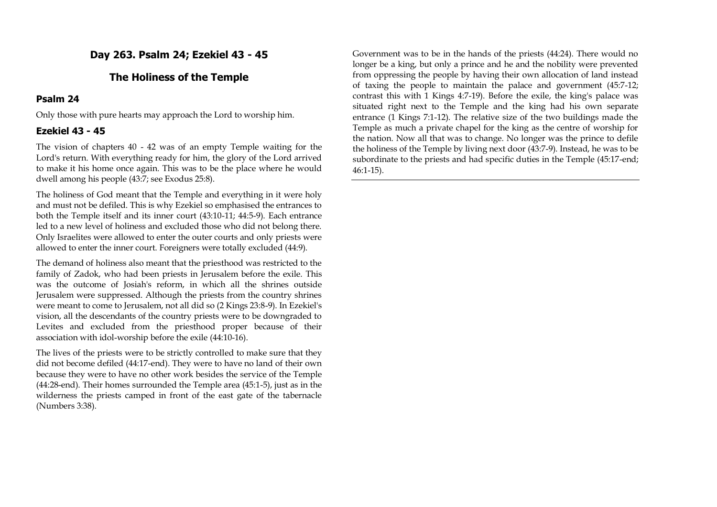## **Day 263. Psalm 24; Ezekiel 43 - 45**

## **The Holiness of the Temple**

### **Psalm 24**

Only those with pure hearts may approach the Lord to worship him.

## **Ezekiel 43 - 45**

The vision of chapters 40 - 42 was of an empty Temple waiting for the Lord's return. With everything ready for him, the glory of the Lord arrived to make it his home once again. This was to be the place where he would dwell among his people (43:7; see Exodus 25:8).

The holiness of God meant that the Temple and everything in it were holy and must not be defiled. This is why Ezekiel so emphasised the entrances to both the Temple itself and its inner court (43:10-11; 44:5-9). Each entrance led to a new level of holiness and excluded those who did not belong there. Only Israelites were allowed to enter the outer courts and only priests were allowed to enter the inner court. Foreigners were totally excluded (44:9).

The demand of holiness also meant that the priesthood was restricted to the family of Zadok, who had been priests in Jerusalem before the exile. This was the outcome of Josiah's reform, in which all the shrines outside Jerusalem were suppressed. Although the priests from the country shrines were meant to come to Jerusalem, not all did so (2 Kings 23:8-9). In Ezekiel's vision, all the descendants of the country priests were to be downgraded to Levites and excluded from the priesthood proper because of their association with idol-worship before the exile (44:10-16).

The lives of the priests were to be strictly controlled to make sure that they did not become defiled (44:17-end). They were to have no land of their own because they were to have no other work besides the service of the Temple (44:28-end). Their homes surrounded the Temple area (45:1-5), just as in the wilderness the priests camped in front of the east gate of the tabernacle (Numbers 3:38).

Government was to be in the hands of the priests (44:24). There would no longer be a king, but only a prince and he and the nobility were prevented from oppressing the people by having their own allocation of land instead of taxing the people to maintain the palace and government (45:7-12; contrast this with 1 Kings 4:7-19). Before the exile, the king's palace was situated right next to the Temple and the king had his own separate entrance (1 Kings 7:1-12). The relative size of the two buildings made the Temple as much a private chapel for the king as the centre of worship for the nation. Now all that was to change. No longer was the prince to defile the holiness of the Temple by living next door (43:7-9). Instead, he was to be subordinate to the priests and had specific duties in the Temple (45:17-end; 46:1-15).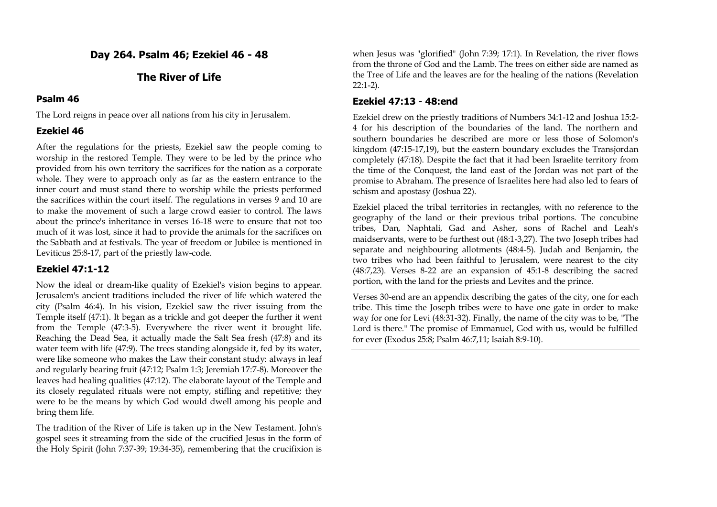## **Day 264. Psalm 46; Ezekiel 46 - 48**

## **The River of Life**

#### **Psalm 46**

The Lord reigns in peace over all nations from his city in Jerusalem.

### **Ezekiel 46**

After the regulations for the priests, Ezekiel saw the people coming to worship in the restored Temple. They were to be led by the prince who provided from his own territory the sacrifices for the nation as a corporate whole. They were to approach only as far as the eastern entrance to the inner court and must stand there to worship while the priests performed the sacrifices within the court itself. The regulations in verses 9 and 10 are to make the movement of such a large crowd easier to control. The laws about the prince's inheritance in verses 16-18 were to ensure that not too much of it was lost, since it had to provide the animals for the sacrifices on the Sabbath and at festivals. The year of freedom or Jubilee is mentioned in Leviticus 25:8-17, part of the priestly law-code.

### **Ezekiel 47:1-12**

Now the ideal or dream-like quality of Ezekiel's vision begins to appear. Jerusalem's ancient traditions included the river of life which watered the city (Psalm 46:4). In his vision, Ezekiel saw the river issuing from the Temple itself (47:1). It began as a trickle and got deeper the further it went from the Temple (47:3-5). Everywhere the river went it brought life. Reaching the Dead Sea, it actually made the Salt Sea fresh (47:8) and its water teem with life (47:9). The trees standing alongside it, fed by its water, were like someone who makes the Law their constant study: always in leaf and regularly bearing fruit (47:12; Psalm 1:3; Jeremiah 17:7-8). Moreover the leaves had healing qualities (47:12). The elaborate layout of the Temple and its closely regulated rituals were not empty, stifling and repetitive; they were to be the means by which God would dwell among his people and bring them life.

The tradition of the River of Life is taken up in the New Testament. John's gospel sees it streaming from the side of the crucified Jesus in the form of the Holy Spirit (John 7:37-39; 19:34-35), remembering that the crucifixion is when Jesus was "glorified" (John 7:39: 17:1). In Revelation, the river flows from the throne of God and the Lamb. The trees on either side are named as the Tree of Life and the leaves are for the healing of the nations (Revelation 22:1-2).

#### **Ezekiel 47:13 - 48:end**

Ezekiel drew on the priestly traditions of Numbers 34:1-12 and Joshua 15:2- 4 for his description of the boundaries of the land. The northern and southern boundaries he described are more or less those of Solomon's kingdom (47:15-17,19), but the eastern boundary excludes the Transjordan completely (47:18). Despite the fact that it had been Israelite territory from the time of the Conquest, the land east of the Jordan was not part of the promise to Abraham. The presence of Israelites here had also led to fears of schism and apostasy (Joshua 22).

Ezekiel placed the tribal territories in rectangles, with no reference to the geography of the land or their previous tribal portions. The concubine tribes, Dan, Naphtali, Gad and Asher, sons of Rachel and Leah's maidservants, were to be furthest out (48:1-3,27). The two Joseph tribes had separate and neighbouring allotments (48:4-5). Judah and Benjamin, the two tribes who had been faithful to Jerusalem, were nearest to the city (48:7,23). Verses 8-22 are an expansion of 45:1-8 describing the sacred portion, with the land for the priests and Levites and the prince.

Verses 30-end are an appendix describing the gates of the city, one for each tribe. This time the Joseph tribes were to have one gate in order to make way for one for Levi (48:31-32). Finally, the name of the city was to be, "The Lord is there." The promise of Emmanuel, God with us, would be fulfilled for ever (Exodus 25:8; Psalm 46:7,11; Isaiah 8:9-10).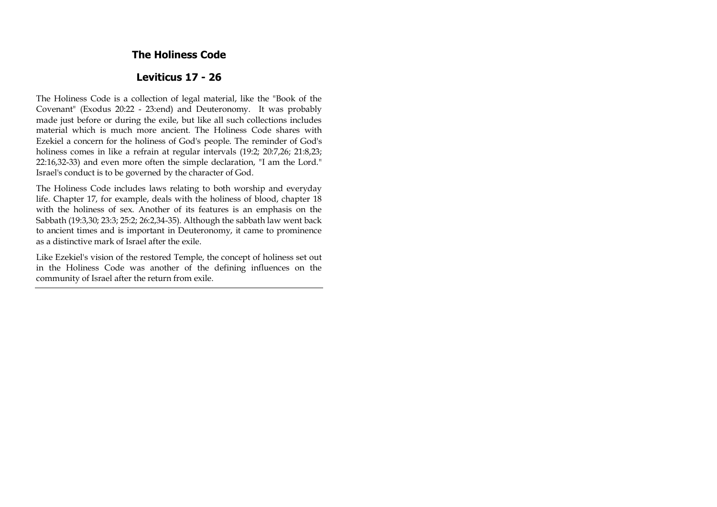## **The Holiness Code**

## **Leviticus 17 - 26**

The Holiness Code is a collection of legal material, like the "Book of the Covenant" (Exodus 20:22 - 23:end) and Deuteronomy. It was probably made just before or during the exile, but like all such collections includes material which is much more ancient. The Holiness Code shares with Ezekiel a concern for the holiness of God's people. The reminder of God's holiness comes in like a refrain at regular intervals (19:2; 20:7,26; 21:8,23; 22:16,32-33) and even more often the simple declaration, "I am the Lord." Israel's conduct is to be governed by the character of God.

The Holiness Code includes laws relating to both worship and everyday life. Chapter 17, for example, deals with the holiness of blood, chapter 18 with the holiness of sex. Another of its features is an emphasis on the Sabbath (19:3,30; 23:3; 25:2; 26:2,34-35). Although the sabbath law went back to ancient times and is important in Deuteronomy, it came to prominence as a distinctive mark of Israel after the exile.

Like Ezekiel's vision of the restored Temple, the concept of holiness set out in the Holiness Code was another of the defining influences on the community of Israel after the return from exile.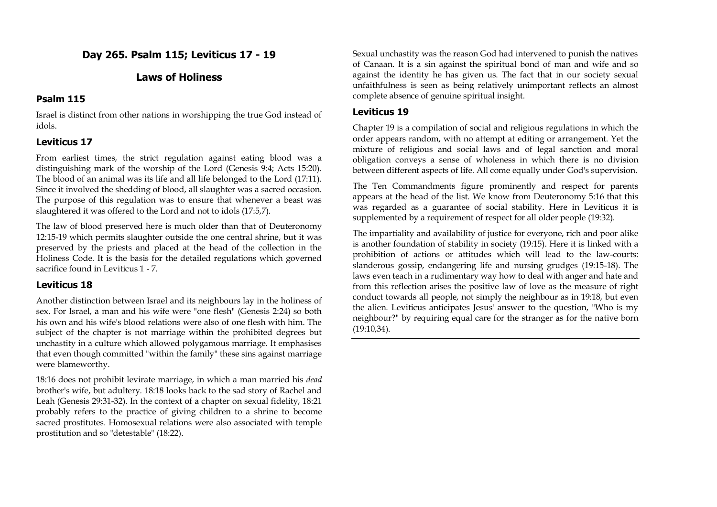## **Day 265. Psalm 115; Leviticus 17 - 19**

## **Laws of Holiness**

### **Psalm 115**

Israel is distinct from other nations in worshipping the true God instead of idols.

## **Leviticus 17**

From earliest times, the strict regulation against eating blood was a distinguishing mark of the worship of the Lord (Genesis 9:4; Acts 15:20). The blood of an animal was its life and all life belonged to the Lord (17:11). Since it involved the shedding of blood, all slaughter was a sacred occasion. The purpose of this regulation was to ensure that whenever a beast was slaughtered it was offered to the Lord and not to idols (17:5,7).

The law of blood preserved here is much older than that of Deuteronomy 12:15-19 which permits slaughter outside the one central shrine, but it was preserved by the priests and placed at the head of the collection in the Holiness Code. It is the basis for the detailed regulations which governed sacrifice found in Leviticus 1 - 7.

## **Leviticus 18**

Another distinction between Israel and its neighbours lay in the holiness of sex. For Israel, a man and his wife were "one flesh" (Genesis 2:24) so both his own and his wife's blood relations were also of one flesh with him. The subject of the chapter is not marriage within the prohibited degrees but unchastity in a culture which allowed polygamous marriage. It emphasises that even though committed "within the family" these sins against marriage were blameworthy.

18:16 does not prohibit levirate marriage, in which a man married his *dead*  brother's wife, but adultery. 18:18 looks back to the sad story of Rachel and Leah (Genesis 29:31-32). In the context of a chapter on sexual fidelity, 18:21 probably refers to the practice of giving children to a shrine to become sacred prostitutes. Homosexual relations were also associated with temple prostitution and so "detestable" (18:22).

Sexual unchastity was the reason God had intervened to punish the natives of Canaan. It is a sin against the spiritual bond of man and wife and so against the identity he has given us. The fact that in our society sexual unfaithfulness is seen as being relatively unimportant reflects an almost complete absence of genuine spiritual insight.

### **Leviticus 19**

Chapter 19 is a compilation of social and religious regulations in which the order appears random, with no attempt at editing or arrangement. Yet the mixture of religious and social laws and of legal sanction and moral obligation conveys a sense of wholeness in which there is no division between different aspects of life. All come equally under God's supervision.

The Ten Commandments figure prominently and respect for parents appears at the head of the list. We know from Deuteronomy 5:16 that this was regarded as a guarantee of social stability. Here in Leviticus it is supplemented by a requirement of respect for all older people (19:32).

The impartiality and availability of justice for everyone, rich and poor alike is another foundation of stability in society (19:15). Here it is linked with a prohibition of actions or attitudes which will lead to the law-courts: slanderous gossip, endangering life and nursing grudges (19:15-18). The laws even teach in a rudimentary way how to deal with anger and hate and from this reflection arises the positive law of love as the measure of right conduct towards all people, not simply the neighbour as in 19:18, but even the alien. Leviticus anticipates Jesus' answer to the question, "Who is my neighbour?" by requiring equal care for the stranger as for the native born (19:10,34).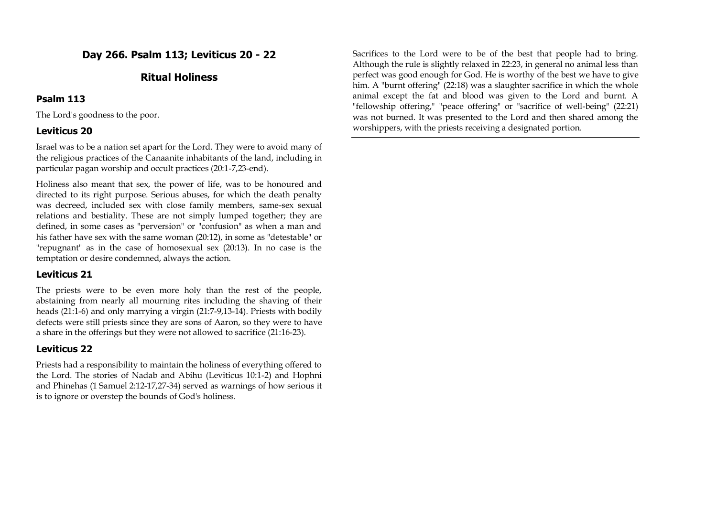# **Day 266. Psalm 113; Leviticus 20 - 22**

## **Ritual Holiness**

### **Psalm 113**

The Lord's goodness to the poor.

### **Leviticus 20**

Israel was to be a nation set apart for the Lord. They were to avoid many of the religious practices of the Canaanite inhabitants of the land, including in particular pagan worship and occult practices (20:1-7,23-end).

Holiness also meant that sex, the power of life, was to be honoured and directed to its right purpose. Serious abuses, for which the death penalty was decreed, included sex with close family members, same-sex sexual relations and bestiality. These are not simply lumped together; they are defined, in some cases as "perversion" or "confusion" as when a man and his father have sex with the same woman (20:12), in some as "detestable" or "repugnant" as in the case of homosexual sex (20:13). In no case is the temptation or desire condemned, always the action.

### **Leviticus 21**

The priests were to be even more holy than the rest of the people, abstaining from nearly all mourning rites including the shaving of their heads (21:1-6) and only marrying a virgin (21:7-9,13-14). Priests with bodily defects were still priests since they are sons of Aaron, so they were to have a share in the offerings but they were not allowed to sacrifice (21:16-23).

## **Leviticus 22**

Priests had a responsibility to maintain the holiness of everything offered to the Lord. The stories of Nadab and Abihu (Leviticus 10:1-2) and Hophni and Phinehas (1 Samuel 2:12-17,27-34) served as warnings of how serious it is to ignore or overstep the bounds of God's holiness.

Sacrifices to the Lord were to be of the best that people had to bring. Although the rule is slightly relaxed in 22:23, in general no animal less than perfect was good enough for God. He is worthy of the best we have to give him. A "burnt offering" (22:18) was a slaughter sacrifice in which the whole animal except the fat and blood was given to the Lord and burnt. A "fellowship offering," "peace offering" or "sacrifice of well-being" (22:21) was not burned. It was presented to the Lord and then shared among the worshippers, with the priests receiving a designated portion.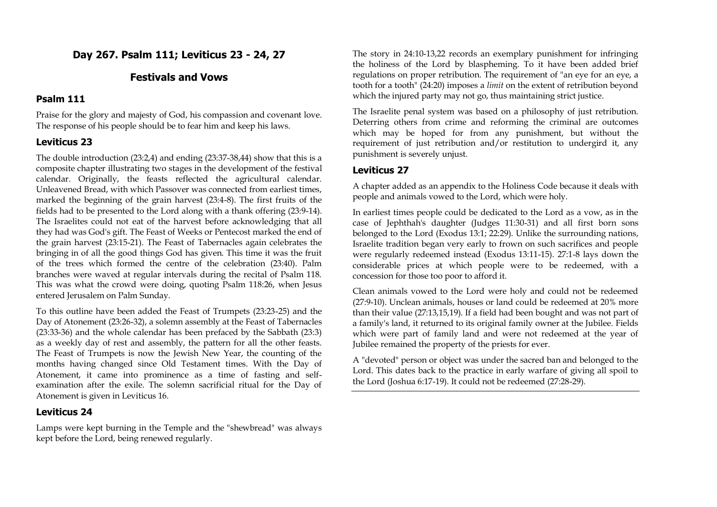## **Day 267. Psalm 111; Leviticus 23 - 24, 27**

## **Festivals and Vows**

### **Psalm 111**

Praise for the glory and majesty of God, his compassion and covenant love. The response of his people should be to fear him and keep his laws.

## **Leviticus 23**

The double introduction (23:2,4) and ending (23:37-38,44) show that this is a composite chapter illustrating two stages in the development of the festival calendar. Originally, the feasts reflected the agricultural calendar. Unleavened Bread, with which Passover was connected from earliest times, marked the beginning of the grain harvest (23:4-8). The first fruits of the fields had to be presented to the Lord along with a thank offering (23:9-14). The Israelites could not eat of the harvest before acknowledging that all they had was God's gift. The Feast of Weeks or Pentecost marked the end of the grain harvest (23:15-21). The Feast of Tabernacles again celebrates the bringing in of all the good things God has given. This time it was the fruit of the trees which formed the centre of the celebration (23:40). Palm branches were waved at regular intervals during the recital of Psalm 118. This was what the crowd were doing, quoting Psalm 118:26, when Jesus entered Jerusalem on Palm Sunday.

To this outline have been added the Feast of Trumpets (23:23-25) and the Day of Atonement (23:26-32), a solemn assembly at the Feast of Tabernacles (23:33-36) and the whole calendar has been prefaced by the Sabbath (23:3) as a weekly day of rest and assembly, the pattern for all the other feasts. The Feast of Trumpets is now the Jewish New Year, the counting of the months having changed since Old Testament times. With the Day of Atonement, it came into prominence as a time of fasting and selfexamination after the exile. The solemn sacrificial ritual for the Day of Atonement is given in Leviticus 16.

## **Leviticus 24**

Lamps were kept burning in the Temple and the "shewbread" was always kept before the Lord, being renewed regularly.

The story in 24:10-13,22 records an exemplary punishment for infringing the holiness of the Lord by blaspheming. To it have been added brief regulations on proper retribution. The requirement of "an eye for an eye, a tooth for a tooth" (24:20) imposes a *limit* on the extent of retribution beyond which the injured party may not go, thus maintaining strict justice.

The Israelite penal system was based on a philosophy of just retribution. Deterring others from crime and reforming the criminal are outcomes which may be hoped for from any punishment, but without the requirement of just retribution and/or restitution to undergird it, any punishment is severely unjust.

## **Leviticus 27**

A chapter added as an appendix to the Holiness Code because it deals with people and animals vowed to the Lord, which were holy.

In earliest times people could be dedicated to the Lord as a vow, as in the case of Jephthah's daughter (Judges 11:30-31) and all first born sons belonged to the Lord (Exodus 13:1; 22:29). Unlike the surrounding nations, Israelite tradition began very early to frown on such sacrifices and people were regularly redeemed instead (Exodus 13:11-15). 27:1-8 lays down the considerable prices at which people were to be redeemed, with a concession for those too poor to afford it.

Clean animals vowed to the Lord were holy and could not be redeemed (27:9-10). Unclean animals, houses or land could be redeemed at 20% more than their value (27:13,15,19). If a field had been bought and was not part of a family's land, it returned to its original family owner at the Jubilee. Fields which were part of family land and were not redeemed at the year of Jubilee remained the property of the priests for ever.

A "devoted" person or object was under the sacred ban and belonged to the Lord. This dates back to the practice in early warfare of giving all spoil to the Lord (Joshua 6:17-19). It could not be redeemed (27:28-29).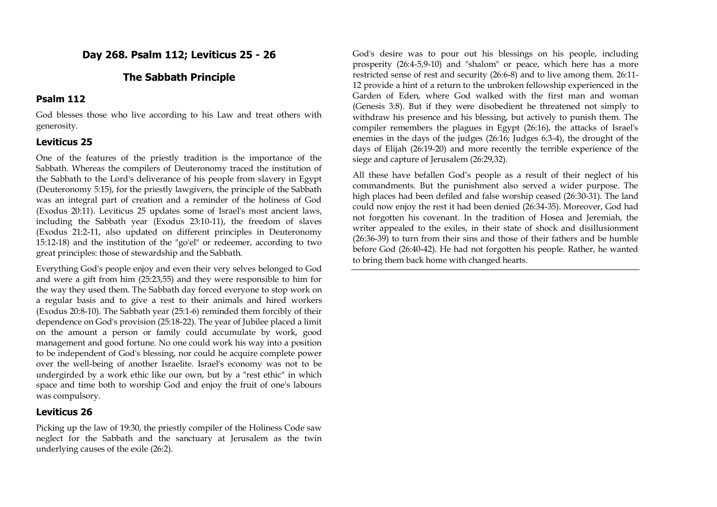## **Day 268. Psalm 112; Leviticus 25 - 26**

## **The Sabbath Principle**

#### **Psalm 112**

God blesses those who live according to his Law and treat others with generosity.

## **Leviticus 25**

One of the features of the priestly tradition is the importance of the Sabbath. Whereas the compilers of Deuteronomy traced the institution of the Sabbath to the Lord's deliverance of his people from slavery in Egypt (Deuteronomy 5:15), for the priestly lawgivers, the principle of the Sabbath was an integral part of creation and a reminder of the holiness of God (Exodus 20:11). Leviticus 25 updates some of Israel's most ancient laws, including the Sabbath year (Exodus 23:10-11), the freedom of slaves (Exodus 21:2-11, also updated on different principles in Deuteronomy 15:12-18) and the institution of the "go'el" or redeemer, according to two great principles: those of stewardship and the Sabbath.

Everything God's people enjoy and even their very selves belonged to God and were a gift from him (25:23,55) and they were responsible to him for the way they used them. The Sabbath day forced everyone to stop work on a regular basis and to give a rest to their animals and hired workers (Exodus 20:8-10). The Sabbath year (25:1-6) reminded them forcibly of their dependence on God's provision (25:18-22). The year of Jubilee placed a limit on the amount a person or family could accumulate by work, good management and good fortune. No one could work his way into a position to be independent of God's blessing, nor could he acquire complete power over the well-being of another Israelite. Israel's economy was not to be undergirded by a work ethic like our own, but by a "rest ethic" in which space and time both to worship God and enjoy the fruit of one's labours was compulsory.

### **Leviticus 26**

Picking up the law of 19:30, the priestly compiler of the Holiness Code saw neglect for the Sabbath and the sanctuary at Jerusalem as the twin underlying causes of the exile (26:2).

God's desire was to pour out his blessings on his people, including prosperity (26:4-5,9-10) and "shalom" or peace, which here has a more restricted sense of rest and security (26:6-8) and to live among them. 26:11- 12 provide a hint of a return to the unbroken fellowship experienced in the Garden of Eden, where God walked with the first man and woman (Genesis 3:8). But if they were disobedient he threatened not simply to withdraw his presence and his blessing, but actively to punish them. The compiler remembers the plagues in Egypt (26:16), the attacks of Israel's enemies in the days of the judges (26:16; Judges 6:3-4), the drought of the days of Elijah (26:19-20) and more recently the terrible experience of the siege and capture of Jerusalem (26:29,32).

All these have befallen God's people as a result of their neglect of his commandments. But the punishment also served a wider purpose. The high places had been defiled and false worship ceased (26:30-31). The land could now enjoy the rest it had been denied (26:34-35). Moreover, God had not forgotten his covenant. In the tradition of Hosea and Jeremiah, the writer appealed to the exiles, in their state of shock and disillusionment (26:36-39) to turn from their sins and those of their fathers and be humble before God (26:40-42). He had not forgotten his people. Rather, he wanted to bring them back home with changed hearts.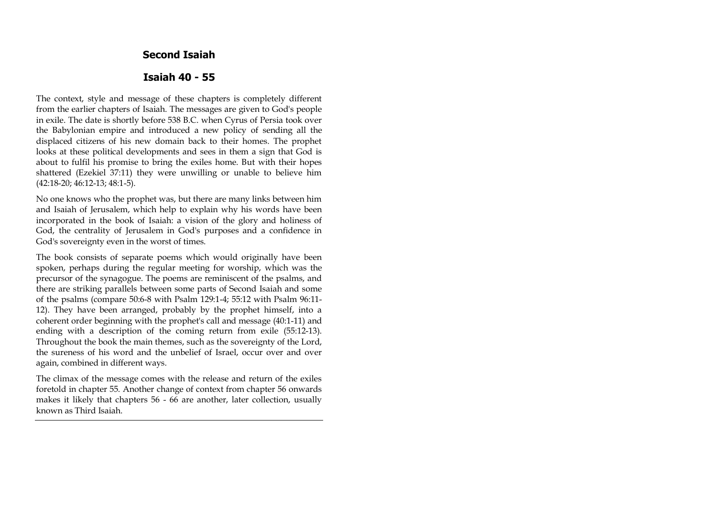**Second Isaiah**

#### **Isaiah 40 - 55**

The context, style and message of these chapters is completely different from the earlier chapters of Isaiah. The messages are given to God's people in exile. The date is shortly before 538 B.C. when Cyrus of Persia took over the Babylonian empire and introduced a new policy of sending all the displaced citizens of his new domain back to their homes. The prophet looks at these political developments and sees in them a sign that God is about to fulfil his promise to bring the exiles home. But with their hopes shattered (Ezekiel 37:11) they were unwilling or unable to believe him (42:18-20; 46:12-13; 48:1-5).

No one knows who the prophet was, but there are many links between him and Isaiah of Jerusalem, which help to explain why his words have been incorporated in the book of Isaiah: a vision of the glory and holiness of God, the centrality of Jerusalem in God's purposes and a confidence in God's sovereignty even in the worst of times.

The book consists of separate poems which would originally have been spoken, perhaps during the regular meeting for worship, which was the precursor of the synagogue. The poems are reminiscent of the psalms, and there are striking parallels between some parts of Second Isaiah and some of the psalms (compare 50:6-8 with Psalm 129:1-4; 55:12 with Psalm 96:11- 12). They have been arranged, probably by the prophet himself, into a coherent order beginning with the prophet's call and message (40:1-11) and ending with a description of the coming return from exile (55:12-13). Throughout the book the main themes, such as the sovereignty of the Lord, the sureness of his word and the unbelief of Israel, occur over and over again, combined in different ways.

The climax of the message comes with the release and return of the exiles foretold in chapter 55. Another change of context from chapter 56 onwards makes it likely that chapters 56 - 66 are another, later collection, usually known as Third Isaiah.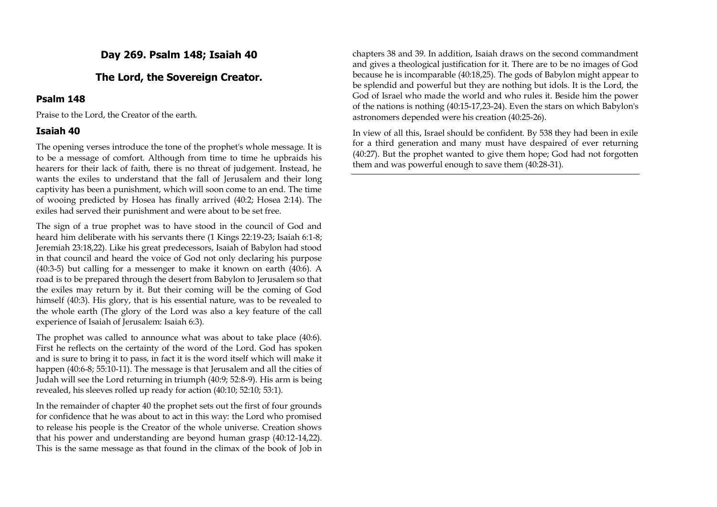**Day 269. Psalm 148; Isaiah 40**

## **The Lord, the Sovereign Creator.**

#### **Psalm 148**

Praise to the Lord, the Creator of the earth.

#### **Isaiah 40**

The opening verses introduce the tone of the prophet's whole message. It is to be a message of comfort. Although from time to time he upbraids his hearers for their lack of faith, there is no threat of judgement. Instead, he wants the exiles to understand that the fall of Jerusalem and their long captivity has been a punishment, which will soon come to an end. The time of wooing predicted by Hosea has finally arrived (40:2; Hosea 2:14). The exiles had served their punishment and were about to be set free.

The sign of a true prophet was to have stood in the council of God and heard him deliberate with his servants there (1 Kings 22:19-23; Isaiah 6:1-8; Jeremiah 23:18,22). Like his great predecessors, Isaiah of Babylon had stood in that council and heard the voice of God not only declaring his purpose (40:3-5) but calling for a messenger to make it known on earth (40:6). A road is to be prepared through the desert from Babylon to Jerusalem so that the exiles may return by it. But their coming will be the coming of God himself (40:3). His glory, that is his essential nature, was to be revealed to the whole earth (The glory of the Lord was also a key feature of the call experience of Isaiah of Jerusalem: Isaiah 6:3).

The prophet was called to announce what was about to take place (40:6). First he reflects on the certainty of the word of the Lord. God has spoken and is sure to bring it to pass, in fact it is the word itself which will make it happen (40:6-8; 55:10-11). The message is that Jerusalem and all the cities of Judah will see the Lord returning in triumph (40:9; 52:8-9). His arm is being revealed, his sleeves rolled up ready for action (40:10; 52:10; 53:1).

In the remainder of chapter 40 the prophet sets out the first of four grounds for confidence that he was about to act in this way: the Lord who promised to release his people is the Creator of the whole universe. Creation shows that his power and understanding are beyond human grasp (40:12-14,22). This is the same message as that found in the climax of the book of Job in chapters 38 and 39. In addition, Isaiah draws on the second commandment and gives a theological justification for it. There are to be no images of God because he is incomparable (40:18,25). The gods of Babylon might appear to be splendid and powerful but they are nothing but idols. It is the Lord, the God of Israel who made the world and who rules it. Beside him the power of the nations is nothing (40:15-17,23-24). Even the stars on which Babylon's astronomers depended were his creation (40:25-26).

In view of all this, Israel should be confident. By 538 they had been in exile for a third generation and many must have despaired of ever returning (40:27). But the prophet wanted to give them hope; God had not forgotten them and was powerful enough to save them (40:28-31).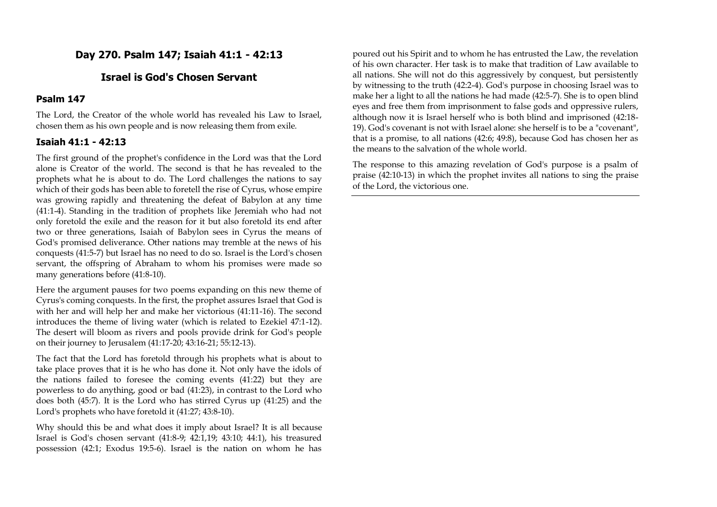## **Day 270. Psalm 147; Isaiah 41:1 - 42:13**

### **Israel is God's Chosen Servant**

#### **Psalm 147**

The Lord, the Creator of the whole world has revealed his Law to Israel, chosen them as his own people and is now releasing them from exile.

### **Isaiah 41:1 - 42:13**

The first ground of the prophet's confidence in the Lord was that the Lord alone is Creator of the world. The second is that he has revealed to the prophets what he is about to do. The Lord challenges the nations to say which of their gods has been able to foretell the rise of Cyrus, whose empire was growing rapidly and threatening the defeat of Babylon at any time (41:1-4). Standing in the tradition of prophets like Jeremiah who had not only foretold the exile and the reason for it but also foretold its end after two or three generations, Isaiah of Babylon sees in Cyrus the means of God's promised deliverance. Other nations may tremble at the news of his conquests (41:5-7) but Israel has no need to do so. Israel is the Lord's chosen servant, the offspring of Abraham to whom his promises were made so many generations before (41:8-10).

Here the argument pauses for two poems expanding on this new theme of Cyrus's coming conquests. In the first, the prophet assures Israel that God is with her and will help her and make her victorious (41:11-16). The second introduces the theme of living water (which is related to Ezekiel 47:1-12). The desert will bloom as rivers and pools provide drink for God's people on their journey to Jerusalem (41:17-20; 43:16-21; 55:12-13).

The fact that the Lord has foretold through his prophets what is about to take place proves that it is he who has done it. Not only have the idols of the nations failed to foresee the coming events (41:22) but they are powerless to do anything, good or bad (41:23), in contrast to the Lord who does both (45:7). It is the Lord who has stirred Cyrus up (41:25) and the Lord's prophets who have foretold it (41:27; 43:8-10).

Why should this be and what does it imply about Israel? It is all because Israel is God's chosen servant (41:8-9; 42:1,19; 43:10; 44:1), his treasured possession (42:1; Exodus 19:5-6). Israel is the nation on whom he has

poured out his Spirit and to whom he has entrusted the Law, the revelation of his own character. Her task is to make that tradition of Law available to all nations. She will not do this aggressively by conquest, but persistently by witnessing to the truth (42:2-4). God's purpose in choosing Israel was to make her a light to all the nations he had made (42:5-7). She is to open blind eyes and free them from imprisonment to false gods and oppressive rulers, although now it is Israel herself who is both blind and imprisoned (42:18- 19). God's covenant is not with Israel alone: she herself is to be a "covenant", that is a promise, to all nations (42:6; 49:8), because God has chosen her as the means to the salvation of the whole world.

The response to this amazing revelation of God's purpose is a psalm of praise (42:10-13) in which the prophet invites all nations to sing the praise of the Lord, the victorious one.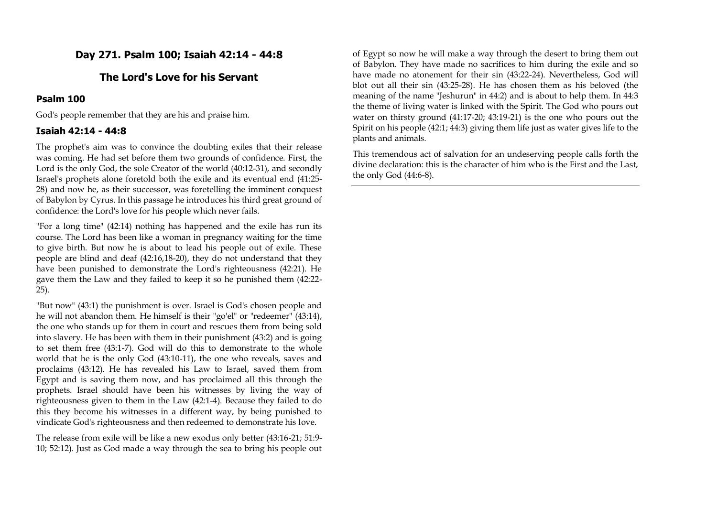## **Day 271. Psalm 100; Isaiah 42:14 - 44:8**

## **The Lord's Love for his Servant**

#### **Psalm 100**

God's people remember that they are his and praise him.

#### **Isaiah 42:14 - 44:8**

The prophet's aim was to convince the doubting exiles that their release was coming. He had set before them two grounds of confidence. First, the Lord is the only God, the sole Creator of the world (40:12-31), and secondly Israel's prophets alone foretold both the exile and its eventual end (41:25- 28) and now he, as their successor, was foretelling the imminent conquest of Babylon by Cyrus. In this passage he introduces his third great ground of confidence: the Lord's love for his people which never fails.

"For a long time" (42:14) nothing has happened and the exile has run its course. The Lord has been like a woman in pregnancy waiting for the time to give birth. But now he is about to lead his people out of exile. These people are blind and deaf (42:16,18-20), they do not understand that they have been punished to demonstrate the Lord's righteousness (42:21). He gave them the Law and they failed to keep it so he punished them (42:22- 25).

"But now" (43:1) the punishment is over. Israel is God's chosen people and he will not abandon them. He himself is their "go'el" or "redeemer" (43:14), the one who stands up for them in court and rescues them from being sold into slavery. He has been with them in their punishment (43:2) and is going to set them free (43:1-7). God will do this to demonstrate to the whole world that he is the only God (43:10-11), the one who reveals, saves and proclaims (43:12). He has revealed his Law to Israel, saved them from Egypt and is saving them now, and has proclaimed all this through the prophets. Israel should have been his witnesses by living the way of righteousness given to them in the Law (42:1-4). Because they failed to do this they become his witnesses in a different way, by being punished to vindicate God's righteousness and then redeemed to demonstrate his love.

The release from exile will be like a new exodus only better (43:16-21; 51:9- 10; 52:12). Just as God made a way through the sea to bring his people out

of Egypt so now he will make a way through the desert to bring them out of Babylon. They have made no sacrifices to him during the exile and so have made no atonement for their sin (43:22-24). Nevertheless, God will blot out all their sin (43:25-28). He has chosen them as his beloved (the meaning of the name "Jeshurun" in 44:2) and is about to help them. In 44:3 the theme of living water is linked with the Spirit. The God who pours out water on thirsty ground (41:17-20; 43:19-21) is the one who pours out the Spirit on his people (42:1; 44:3) giving them life just as water gives life to the plants and animals.

This tremendous act of salvation for an undeserving people calls forth the divine declaration: this is the character of him who is the First and the Last, the only God (44:6-8).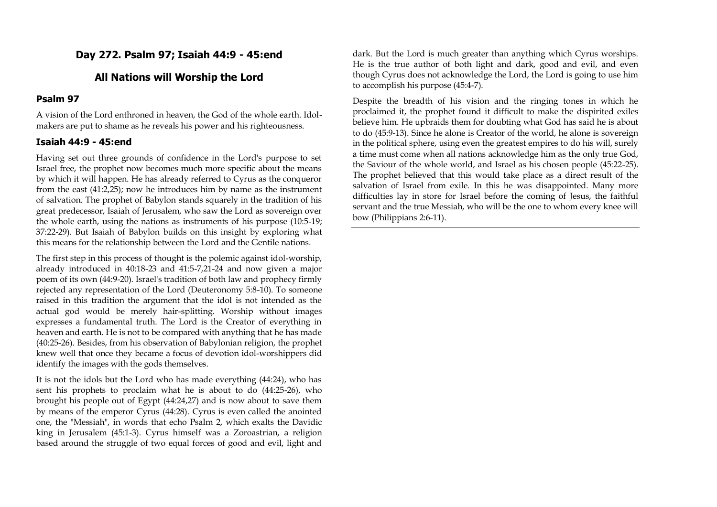## **Day 272. Psalm 97; Isaiah 44:9 - 45:end**

## **All Nations will Worship the Lord**

### **Psalm 97**

A vision of the Lord enthroned in heaven, the God of the whole earth. Idolmakers are put to shame as he reveals his power and his righteousness.

### **Isaiah 44:9 - 45:end**

Having set out three grounds of confidence in the Lord's purpose to set Israel free, the prophet now becomes much more specific about the means by which it will happen. He has already referred to Cyrus as the conqueror from the east (41:2,25); now he introduces him by name as the instrument of salvation. The prophet of Babylon stands squarely in the tradition of his great predecessor, Isaiah of Jerusalem, who saw the Lord as sovereign over the whole earth, using the nations as instruments of his purpose (10:5-19; 37:22-29). But Isaiah of Babylon builds on this insight by exploring what this means for the relationship between the Lord and the Gentile nations.

The first step in this process of thought is the polemic against idol-worship, already introduced in 40:18-23 and 41:5-7,21-24 and now given a major poem of its own (44:9-20). Israel's tradition of both law and prophecy firmly rejected any representation of the Lord (Deuteronomy 5:8-10). To someone raised in this tradition the argument that the idol is not intended as the actual god would be merely hair-splitting. Worship without images expresses a fundamental truth. The Lord is the Creator of everything in heaven and earth. He is not to be compared with anything that he has made (40:25-26). Besides, from his observation of Babylonian religion, the prophet knew well that once they became a focus of devotion idol-worshippers did identify the images with the gods themselves.

It is not the idols but the Lord who has made everything (44:24), who has sent his prophets to proclaim what he is about to do (44:25-26), who brought his people out of Egypt (44:24,27) and is now about to save them by means of the emperor Cyrus (44:28). Cyrus is even called the anointed one, the "Messiah", in words that echo Psalm 2, which exalts the Davidic king in Jerusalem (45:1-3). Cyrus himself was a Zoroastrian, a religion based around the struggle of two equal forces of good and evil, light and

dark. But the Lord is much greater than anything which Cyrus worships. He is the true author of both light and dark, good and evil, and even though Cyrus does not acknowledge the Lord, the Lord is going to use him to accomplish his purpose (45:4-7).

Despite the breadth of his vision and the ringing tones in which he proclaimed it, the prophet found it difficult to make the dispirited exiles believe him. He upbraids them for doubting what God has said he is about to do (45:9-13). Since he alone is Creator of the world, he alone is sovereign in the political sphere, using even the greatest empires to do his will, surely a time must come when all nations acknowledge him as the only true God, the Saviour of the whole world, and Israel as his chosen people (45:22-25). The prophet believed that this would take place as a direct result of the salvation of Israel from exile. In this he was disappointed. Many more difficulties lay in store for Israel before the coming of Jesus, the faithful servant and the true Messiah, who will be the one to whom every knee will bow (Philippians 2:6-11).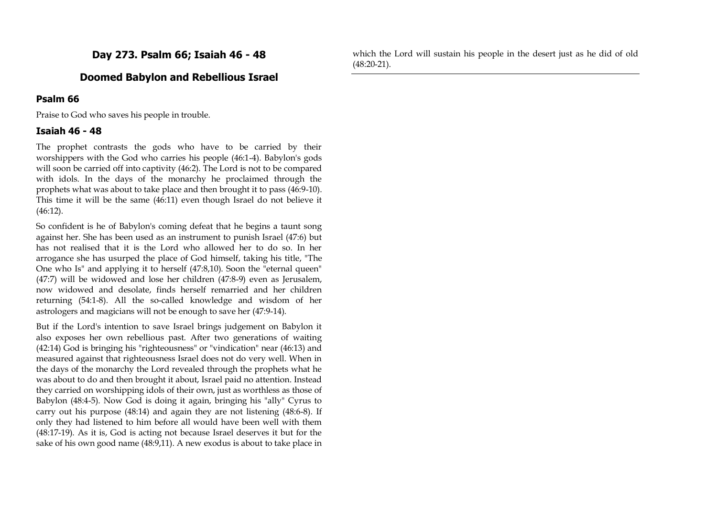**Day 273. Psalm 66; Isaiah 46 - 48**

## **Doomed Babylon and Rebellious Israel**

#### **Psalm 66**

Praise to God who saves his people in trouble.

#### **Isaiah 46 - 48**

The prophet contrasts the gods who have to be carried by their worshippers with the God who carries his people (46:1-4). Babylon's gods will soon be carried off into captivity (46:2). The Lord is not to be compared with idols. In the days of the monarchy he proclaimed through the prophets what was about to take place and then brought it to pass (46:9-10). This time it will be the same (46:11) even though Israel do not believe it (46:12).

So confident is he of Babylon's coming defeat that he begins a taunt song against her. She has been used as an instrument to punish Israel (47:6) but has not realised that it is the Lord who allowed her to do so. In her arrogance she has usurped the place of God himself, taking his title, "The One who Is" and applying it to herself (47:8,10). Soon the "eternal queen" (47:7) will be widowed and lose her children (47:8-9) even as Jerusalem, now widowed and desolate, finds herself remarried and her children returning (54:1-8). All the so-called knowledge and wisdom of her astrologers and magicians will not be enough to save her (47:9-14).

But if the Lord's intention to save Israel brings judgement on Babylon it also exposes her own rebellious past. After two generations of waiting (42:14) God is bringing his "righteousness" or "vindication" near (46:13) and measured against that righteousness Israel does not do very well. When in the days of the monarchy the Lord revealed through the prophets what he was about to do and then brought it about, Israel paid no attention. Instead they carried on worshipping idols of their own, just as worthless as those of Babylon (48:4-5). Now God is doing it again, bringing his "ally" Cyrus to carry out his purpose (48:14) and again they are not listening (48:6-8). If only they had listened to him before all would have been well with them (48:17-19). As it is, God is acting not because Israel deserves it but for the sake of his own good name (48:9,11). A new exodus is about to take place in

which the Lord will sustain his people in the desert just as he did of old (48:20-21).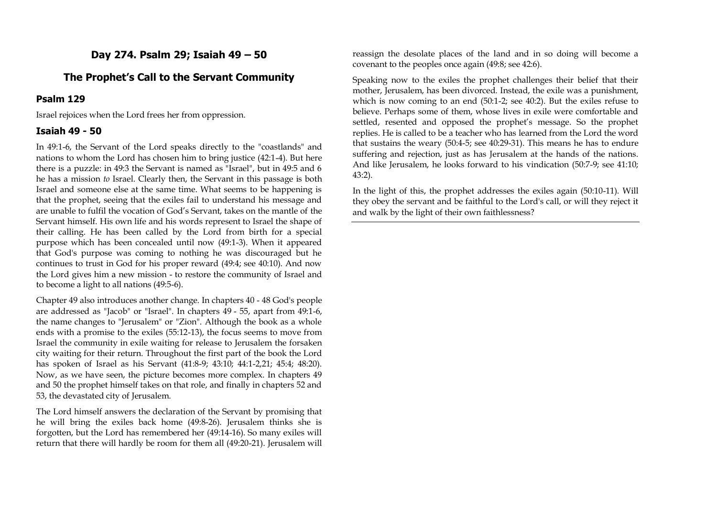## **Day 274. Psalm 29; Isaiah 49 – 50**

### **The Prophet's Call to the Servant Community**

#### **Psalm 129**

Israel rejoices when the Lord frees her from oppression.

#### **Isaiah 49 - 50**

In 49:1-6, the Servant of the Lord speaks directly to the "coastlands" and nations to whom the Lord has chosen him to bring justice (42:1-4). But here there is a puzzle: in 49:3 the Servant is named as "Israel", but in 49:5 and 6 he has a mission *to* Israel. Clearly then, the Servant in this passage is both Israel and someone else at the same time. What seems to be happening is that the prophet, seeing that the exiles fail to understand his message and are unable to fulfil the vocation of God's Servant, takes on the mantle of the Servant himself. His own life and his words represent to Israel the shape of their calling. He has been called by the Lord from birth for a special purpose which has been concealed until now (49:1-3). When it appeared that God's purpose was coming to nothing he was discouraged but he continues to trust in God for his proper reward (49:4; see 40:10). And now the Lord gives him a new mission - to restore the community of Israel and to become a light to all nations (49:5-6).

Chapter 49 also introduces another change. In chapters 40 - 48 God's people are addressed as "Jacob" or "Israel". In chapters 49 - 55, apart from 49:1-6, the name changes to "Jerusalem" or "Zion". Although the book as a whole ends with a promise to the exiles (55:12-13), the focus seems to move from Israel the community in exile waiting for release to Jerusalem the forsaken city waiting for their return. Throughout the first part of the book the Lord has spoken of Israel as his Servant (41:8-9; 43:10; 44:1-2,21; 45:4; 48:20). Now, as we have seen, the picture becomes more complex. In chapters 49 and 50 the prophet himself takes on that role, and finally in chapters 52 and 53, the devastated city of Jerusalem.

The Lord himself answers the declaration of the Servant by promising that he will bring the exiles back home (49:8-26). Jerusalem thinks she is forgotten, but the Lord has remembered her (49:14-16). So many exiles will return that there will hardly be room for them all (49:20-21). Jerusalem will

reassign the desolate places of the land and in so doing will become a covenant to the peoples once again (49:8; see 42:6).

Speaking now to the exiles the prophet challenges their belief that their mother, Jerusalem, has been divorced. Instead, the exile was a punishment, which is now coming to an end (50:1-2; see 40:2). But the exiles refuse to believe. Perhaps some of them, whose lives in exile were comfortable and settled, resented and opposed the prophet's message. So the prophet replies. He is called to be a teacher who has learned from the Lord the word that sustains the weary (50:4-5; see 40:29-31). This means he has to endure suffering and rejection, just as has Jerusalem at the hands of the nations. And like Jerusalem, he looks forward to his vindication (50:7-9; see 41:10; 43:2).

In the light of this, the prophet addresses the exiles again (50:10-11). Will they obey the servant and be faithful to the Lord's call, or will they reject it and walk by the light of their own faithlessness?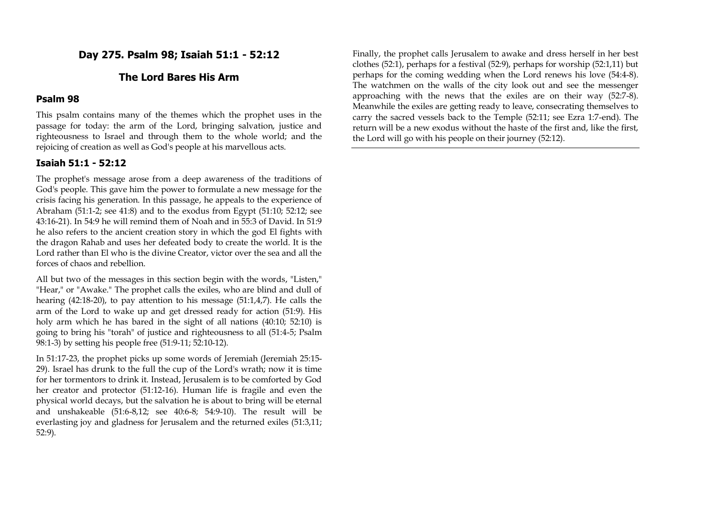**Day 275. Psalm 98; Isaiah 51:1 - 52:12**

## **The Lord Bares His Arm**

### **Psalm 98**

This psalm contains many of the themes which the prophet uses in the passage for today: the arm of the Lord, bringing salvation, justice and righteousness to Israel and through them to the whole world; and the rejoicing of creation as well as God's people at his marvellous acts.

#### **Isaiah 51:1 - 52:12**

The prophet's message arose from a deep awareness of the traditions of God's people. This gave him the power to formulate a new message for the crisis facing his generation. In this passage, he appeals to the experience of Abraham (51:1-2; see 41:8) and to the exodus from Egypt (51:10; 52:12; see 43:16-21). In 54:9 he will remind them of Noah and in 55:3 of David. In 51:9 he also refers to the ancient creation story in which the god El fights with the dragon Rahab and uses her defeated body to create the world. It is the Lord rather than El who is the divine Creator, victor over the sea and all the forces of chaos and rebellion.

All but two of the messages in this section begin with the words, "Listen," "Hear," or "Awake." The prophet calls the exiles, who are blind and dull of hearing (42:18-20), to pay attention to his message (51:1,4,7). He calls the arm of the Lord to wake up and get dressed ready for action (51:9). His holy arm which he has bared in the sight of all nations (40:10; 52:10) is going to bring his "torah" of justice and righteousness to all (51:4-5; Psalm 98:1-3) by setting his people free (51:9-11; 52:10-12).

In 51:17-23, the prophet picks up some words of Jeremiah (Jeremiah 25:15- 29). Israel has drunk to the full the cup of the Lord's wrath; now it is time for her tormentors to drink it. Instead, Jerusalem is to be comforted by God her creator and protector (51:12-16). Human life is fragile and even the physical world decays, but the salvation he is about to bring will be eternal and unshakeable (51:6-8,12; see 40:6-8; 54:9-10). The result will be everlasting joy and gladness for Jerusalem and the returned exiles (51:3,11; 52:9).

Finally, the prophet calls Jerusalem to awake and dress herself in her best clothes (52:1), perhaps for a festival (52:9), perhaps for worship (52:1,11) but perhaps for the coming wedding when the Lord renews his love (54:4-8). The watchmen on the walls of the city look out and see the messenger approaching with the news that the exiles are on their way (52:7-8). Meanwhile the exiles are getting ready to leave, consecrating themselves to carry the sacred vessels back to the Temple (52:11; see Ezra 1:7-end). The return will be a new exodus without the haste of the first and, like the first, the Lord will go with his people on their journey (52:12).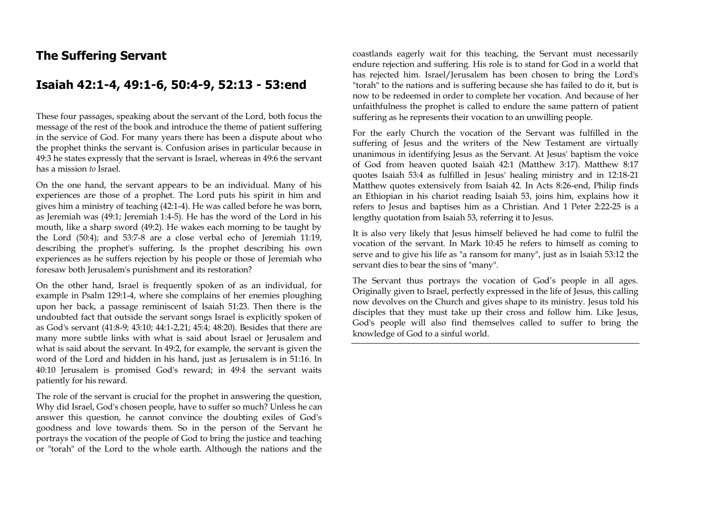# **The Suffering Servant**

# **Isaiah 42:1-4, 49:1-6, 50:4-9, 52:13 - 53:end**

These four passages, speaking about the servant of the Lord, both focus the message of the rest of the book and introduce the theme of patient suffering in the service of God. For many years there has been a dispute about who the prophet thinks the servant is. Confusion arises in particular because in 49:3 he states expressly that the servant is Israel, whereas in 49:6 the servant has a mission *to* Israel.

On the one hand, the servant appears to be an individual. Many of his experiences are those of a prophet. The Lord puts his spirit in him and gives him a ministry of teaching (42:1-4). He was called before he was born, as Jeremiah was (49:1; Jeremiah 1:4-5). He has the word of the Lord in his mouth, like a sharp sword (49:2). He wakes each morning to be taught by the Lord (50:4); and 53:7-8 are a close verbal echo of Jeremiah 11:19, describing the prophet's suffering. Is the prophet describing his own experiences as he suffers rejection by his people or those of Jeremiah who foresaw both Jerusalem's punishment and its restoration?

On the other hand, Israel is frequently spoken of as an individual, for example in Psalm 129:1-4, where she complains of her enemies ploughing upon her back, a passage reminiscent of Isaiah 51:23. Then there is the undoubted fact that outside the servant songs Israel is explicitly spoken of as God's servant (41:8-9; 43:10; 44:1-2,21; 45:4; 48:20). Besides that there are many more subtle links with what is said about Israel or Jerusalem and what is said about the servant. In 49:2, for example, the servant is given the word of the Lord and hidden in his hand, just as Jerusalem is in 51:16. In 40:10 Jerusalem is promised God's reward; in 49:4 the servant waits patiently for his reward.

The role of the servant is crucial for the prophet in answering the question, Why did Israel, God's chosen people, have to suffer so much? Unless he can answer this question, he cannot convince the doubting exiles of God's goodness and love towards them. So in the person of the Servant he portrays the vocation of the people of God to bring the justice and teaching or "torah" of the Lord to the whole earth. Although the nations and the coastlands eagerly wait for this teaching, the Servant must necessarily endure rejection and suffering. His role is to stand for God in a world that has rejected him. Israel/Jerusalem has been chosen to bring the Lord's "torah" to the nations and is suffering because she has failed to do it, but is now to be redeemed in order to complete her vocation. And because of her unfaithfulness the prophet is called to endure the same pattern of patient suffering as he represents their vocation to an unwilling people.

For the early Church the vocation of the Servant was fulfilled in the suffering of Jesus and the writers of the New Testament are virtually unanimous in identifying Jesus as the Servant. At Jesus' baptism the voice of God from heaven quoted Isaiah 42:1 (Matthew 3:17). Matthew 8:17 quotes Isaiah 53:4 as fulfilled in Jesus' healing ministry and in 12:18-21 Matthew quotes extensively from Isaiah 42. In Acts 8:26-end, Philip finds an Ethiopian in his chariot reading Isaiah 53, joins him, explains how it refers to Jesus and baptises him as a Christian. And 1 Peter 2:22-25 is a lengthy quotation from Isaiah 53, referring it to Jesus.

It is also very likely that Jesus himself believed he had come to fulfil the vocation of the servant. In Mark 10:45 he refers to himself as coming to serve and to give his life as "a ransom for many", just as in Isaiah 53:12 the servant dies to bear the sins of "many".

The Servant thus portrays the vocation of God's people in all ages. Originally given to Israel, perfectly expressed in the life of Jesus, this calling now devolves on the Church and gives shape to its ministry. Jesus told his disciples that they must take up their cross and follow him. Like Jesus, God's people will also find themselves called to suffer to bring the knowledge of God to a sinful world.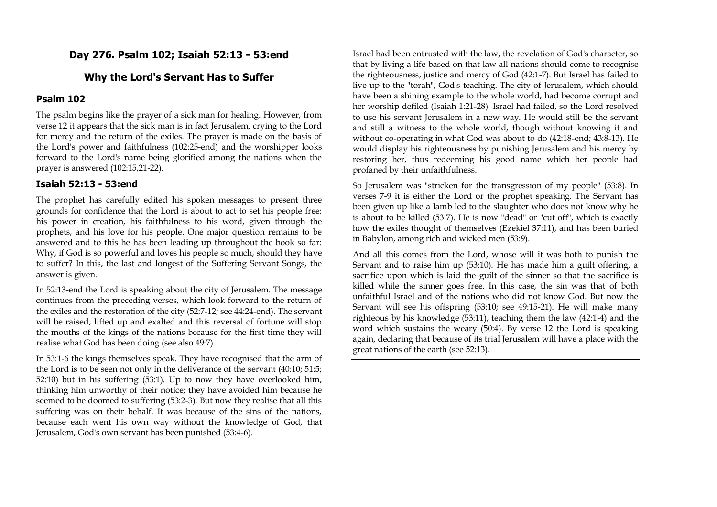### **Day 276. Psalm 102; Isaiah 52:13 - 53:end**

### **Why the Lord's Servant Has to Suffer**

### **Psalm 102**

The psalm begins like the prayer of a sick man for healing. However, from verse 12 it appears that the sick man is in fact Jerusalem, crying to the Lord for mercy and the return of the exiles. The prayer is made on the basis of the Lord's power and faithfulness (102:25-end) and the worshipper looks forward to the Lord's name being glorified among the nations when the prayer is answered (102:15,21-22).

#### **Isaiah 52:13 - 53:end**

The prophet has carefully edited his spoken messages to present three grounds for confidence that the Lord is about to act to set his people free: his power in creation, his faithfulness to his word, given through the prophets, and his love for his people. One major question remains to be answered and to this he has been leading up throughout the book so far: Why, if God is so powerful and loves his people so much, should they have to suffer? In this, the last and longest of the Suffering Servant Songs, the answer is given.

In 52:13-end the Lord is speaking about the city of Jerusalem. The message continues from the preceding verses, which look forward to the return of the exiles and the restoration of the city (52:7-12; see 44:24-end). The servant will be raised, lifted up and exalted and this reversal of fortune will stop the mouths of the kings of the nations because for the first time they will realise what God has been doing (see also 49:7)

In 53:1-6 the kings themselves speak. They have recognised that the arm of the Lord is to be seen not only in the deliverance of the servant (40:10; 51:5; 52:10) but in his suffering (53:1). Up to now they have overlooked him, thinking him unworthy of their notice; they have avoided him because he seemed to be doomed to suffering (53:2-3). But now they realise that all this suffering was on their behalf. It was because of the sins of the nations, because each went his own way without the knowledge of God, that Jerusalem, God's own servant has been punished (53:4-6).

Israel had been entrusted with the law, the revelation of God's character, so that by living a life based on that law all nations should come to recognise the righteousness, justice and mercy of God (42:1-7). But Israel has failed to live up to the "torah", God's teaching. The city of Jerusalem, which should have been a shining example to the whole world, had become corrupt and her worship defiled (Isaiah 1:21-28). Israel had failed, so the Lord resolved to use his servant Jerusalem in a new way. He would still be the servant and still a witness to the whole world, though without knowing it and without co-operating in what God was about to do (42:18-end; 43:8-13). He would display his righteousness by punishing Jerusalem and his mercy by restoring her, thus redeeming his good name which her people had profaned by their unfaithfulness.

So Jerusalem was "stricken for the transgression of my people" (53:8). In verses 7-9 it is either the Lord or the prophet speaking. The Servant has been given up like a lamb led to the slaughter who does not know why he is about to be killed (53:7). He is now "dead" or "cut off", which is exactly how the exiles thought of themselves (Ezekiel 37:11), and has been buried in Babylon, among rich and wicked men (53:9).

And all this comes from the Lord, whose will it was both to punish the Servant and to raise him up (53:10). He has made him a guilt offering, a sacrifice upon which is laid the guilt of the sinner so that the sacrifice is killed while the sinner goes free. In this case, the sin was that of both unfaithful Israel and of the nations who did not know God. But now the Servant will see his offspring (53:10; see 49:15-21). He will make many righteous by his knowledge (53:11), teaching them the law (42:1-4) and the word which sustains the weary (50:4). By verse 12 the Lord is speaking again, declaring that because of its trial Jerusalem will have a place with the great nations of the earth (see 52:13).